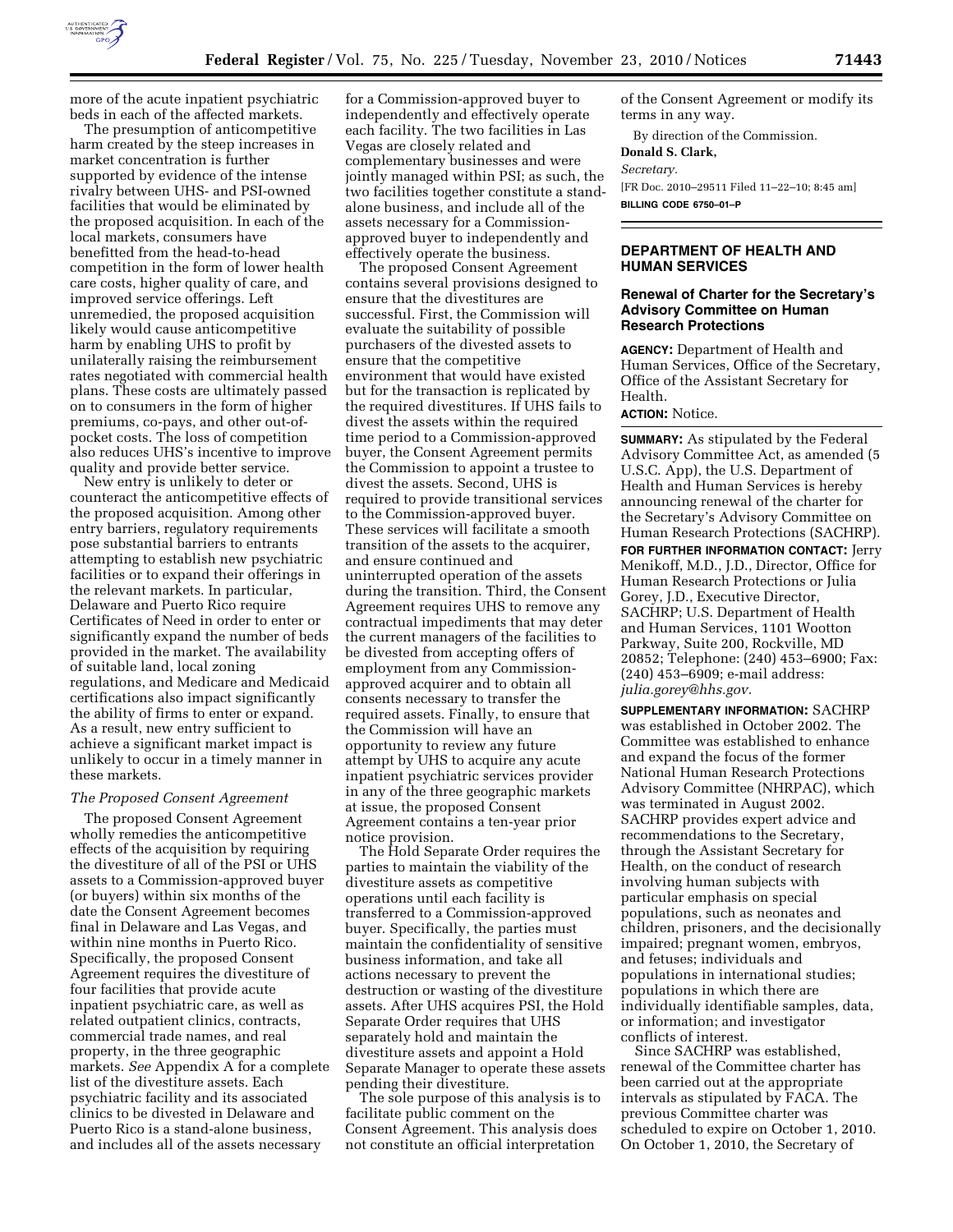

more of the acute inpatient psychiatric beds in each of the affected markets.

The presumption of anticompetitive harm created by the steep increases in market concentration is further supported by evidence of the intense rivalry between UHS- and PSI-owned facilities that would be eliminated by the proposed acquisition. In each of the local markets, consumers have benefitted from the head-to-head competition in the form of lower health care costs, higher quality of care, and improved service offerings. Left unremedied, the proposed acquisition likely would cause anticompetitive harm by enabling UHS to profit by unilaterally raising the reimbursement rates negotiated with commercial health plans. These costs are ultimately passed on to consumers in the form of higher premiums, co-pays, and other out-ofpocket costs. The loss of competition also reduces UHS's incentive to improve quality and provide better service.

New entry is unlikely to deter or counteract the anticompetitive effects of the proposed acquisition. Among other entry barriers, regulatory requirements pose substantial barriers to entrants attempting to establish new psychiatric facilities or to expand their offerings in the relevant markets. In particular, Delaware and Puerto Rico require Certificates of Need in order to enter or significantly expand the number of beds provided in the market. The availability of suitable land, local zoning regulations, and Medicare and Medicaid certifications also impact significantly the ability of firms to enter or expand. As a result, new entry sufficient to achieve a significant market impact is unlikely to occur in a timely manner in these markets.

#### *The Proposed Consent Agreement*

The proposed Consent Agreement wholly remedies the anticompetitive effects of the acquisition by requiring the divestiture of all of the PSI or UHS assets to a Commission-approved buyer (or buyers) within six months of the date the Consent Agreement becomes final in Delaware and Las Vegas, and within nine months in Puerto Rico. Specifically, the proposed Consent Agreement requires the divestiture of four facilities that provide acute inpatient psychiatric care, as well as related outpatient clinics, contracts, commercial trade names, and real property, in the three geographic markets. *See* Appendix A for a complete list of the divestiture assets. Each psychiatric facility and its associated clinics to be divested in Delaware and Puerto Rico is a stand-alone business, and includes all of the assets necessary

for a Commission-approved buyer to independently and effectively operate each facility. The two facilities in Las Vegas are closely related and complementary businesses and were jointly managed within PSI; as such, the two facilities together constitute a standalone business, and include all of the assets necessary for a Commissionapproved buyer to independently and effectively operate the business.

The proposed Consent Agreement contains several provisions designed to ensure that the divestitures are successful. First, the Commission will evaluate the suitability of possible purchasers of the divested assets to ensure that the competitive environment that would have existed but for the transaction is replicated by the required divestitures. If UHS fails to divest the assets within the required time period to a Commission-approved buyer, the Consent Agreement permits the Commission to appoint a trustee to divest the assets. Second, UHS is required to provide transitional services to the Commission-approved buyer. These services will facilitate a smooth transition of the assets to the acquirer, and ensure continued and uninterrupted operation of the assets during the transition. Third, the Consent Agreement requires UHS to remove any contractual impediments that may deter the current managers of the facilities to be divested from accepting offers of employment from any Commissionapproved acquirer and to obtain all consents necessary to transfer the required assets. Finally, to ensure that the Commission will have an opportunity to review any future attempt by UHS to acquire any acute inpatient psychiatric services provider in any of the three geographic markets at issue, the proposed Consent Agreement contains a ten-year prior notice provision.

The Hold Separate Order requires the parties to maintain the viability of the divestiture assets as competitive operations until each facility is transferred to a Commission-approved buyer. Specifically, the parties must maintain the confidentiality of sensitive business information, and take all actions necessary to prevent the destruction or wasting of the divestiture assets. After UHS acquires PSI, the Hold Separate Order requires that UHS separately hold and maintain the divestiture assets and appoint a Hold Separate Manager to operate these assets pending their divestiture.

The sole purpose of this analysis is to facilitate public comment on the Consent Agreement. This analysis does not constitute an official interpretation

of the Consent Agreement or modify its terms in any way.

By direction of the Commission.

**Donald S. Clark,** 

# *Secretary.*

[FR Doc. 2010–29511 Filed 11–22–10; 8:45 am] **BILLING CODE 6750–01–P** 

## **DEPARTMENT OF HEALTH AND HUMAN SERVICES**

### **Renewal of Charter for the Secretary's Advisory Committee on Human Research Protections**

**AGENCY:** Department of Health and Human Services, Office of the Secretary, Office of the Assistant Secretary for Health.

## **ACTION:** Notice.

**SUMMARY:** As stipulated by the Federal Advisory Committee Act, as amended (5 U.S.C. App), the U.S. Department of Health and Human Services is hereby announcing renewal of the charter for the Secretary's Advisory Committee on Human Research Protections (SACHRP). **FOR FURTHER INFORMATION CONTACT:** Jerry Menikoff, M.D., J.D., Director, Office for Human Research Protections or Julia Gorey, J.D., Executive Director, SACHRP; U.S. Department of Health and Human Services, 1101 Wootton Parkway, Suite 200, Rockville, MD 20852; Telephone: (240) 453–6900; Fax: (240) 453–6909; e-mail address: *[julia.gorey@hhs.gov.](mailto:julia.gorey@hhs.gov)* 

**SUPPLEMENTARY INFORMATION:** SACHRP was established in October 2002. The Committee was established to enhance and expand the focus of the former National Human Research Protections Advisory Committee (NHRPAC), which was terminated in August 2002. SACHRP provides expert advice and recommendations to the Secretary, through the Assistant Secretary for Health, on the conduct of research involving human subjects with particular emphasis on special populations, such as neonates and children, prisoners, and the decisionally impaired; pregnant women, embryos, and fetuses; individuals and populations in international studies; populations in which there are individually identifiable samples, data, or information; and investigator conflicts of interest.

Since SACHRP was established, renewal of the Committee charter has been carried out at the appropriate intervals as stipulated by FACA. The previous Committee charter was scheduled to expire on October 1, 2010. On October 1, 2010, the Secretary of